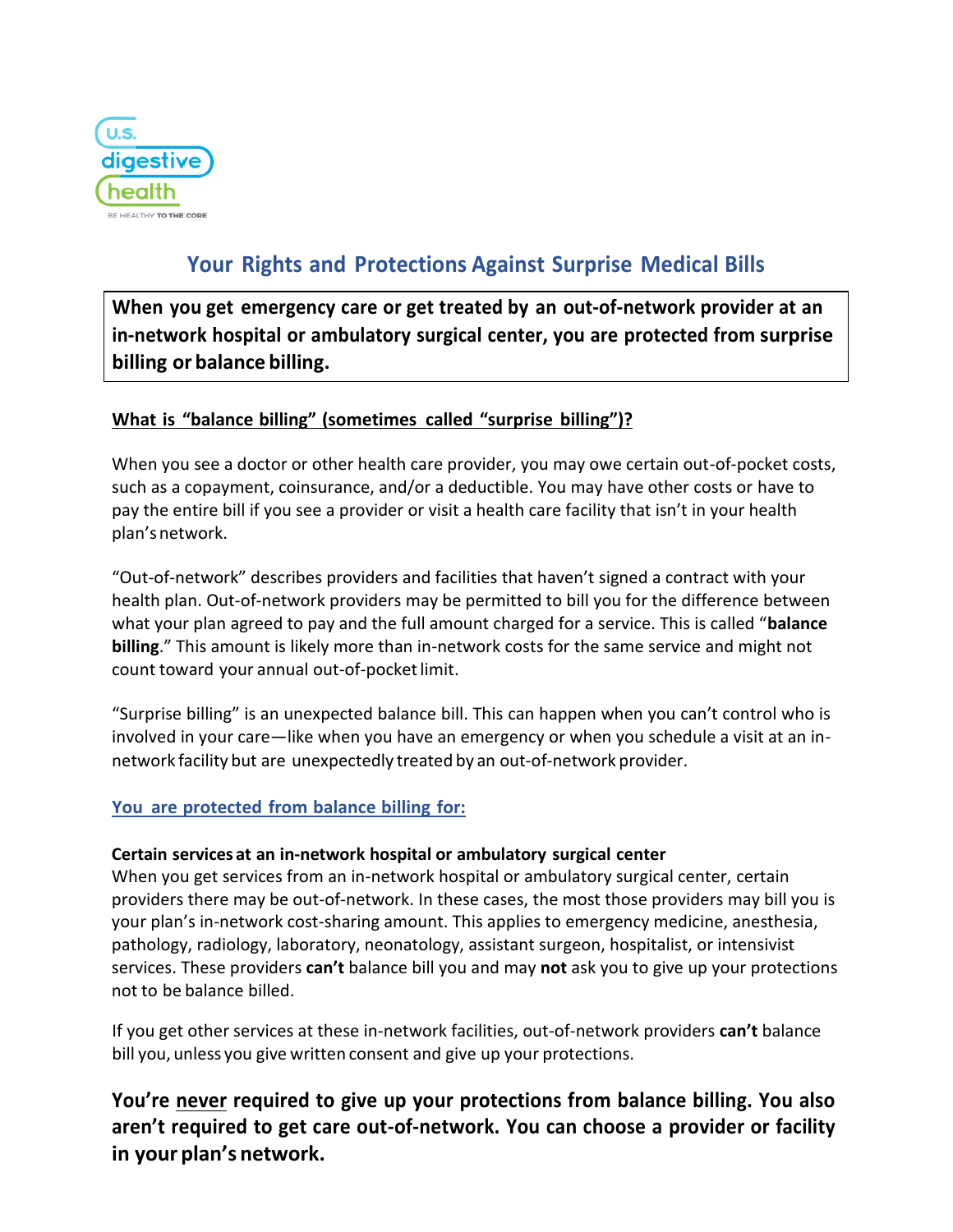

# **Your Rights and Protections Against Surprise Medical Bills**

**When you get emergency care or get treated by an out-of-network provider at an in-network hospital or ambulatory surgical center, you are protected from surprise billing or balance billing.**

### **What is "balance billing" (sometimes called "surprise billing")?**

When you see a doctor or other health care provider, you may owe certain out-of-pocket costs, such as a copayment, coinsurance, and/or a deductible. You may have other costs or have to pay the entire bill if you see a provider or visit a health care facility that isn't in your health plan'snetwork.

"Out-of-network" describes providers and facilities that haven't signed a contract with your health plan. Out-of-network providers may be permitted to bill you for the difference between what your plan agreed to pay and the full amount charged for a service. This is called "**balance billing**." This amount is likely more than in-network costs for the same service and might not count toward your annual out-of-pocket limit.

"Surprise billing" is an unexpected balance bill. This can happen when you can't control who is involved in your care—like when you have an emergency or when you schedule a visit at an innetwork facility but are unexpectedly treated by an out-of-network provider.

#### **You are protected from balance billing for:**

#### **Certain services at an in-network hospital or ambulatory surgical center**

When you get services from an in-network hospital or ambulatory surgical center, certain providers there may be out-of-network. In these cases, the most those providers may bill you is your plan's in-network cost-sharing amount. This applies to emergency medicine, anesthesia, pathology, radiology, laboratory, neonatology, assistant surgeon, hospitalist, or intensivist services. These providers **can't** balance bill you and may **not** ask you to give up your protections not to be balance billed.

If you get other services at these in-network facilities, out-of-network providers **can't** balance bill you, unless you give written consent and give up your protections.

**You're never required to give up your protections from balance billing. You also aren't required to get care out-of-network. You can choose a provider or facility in your plan's network.**